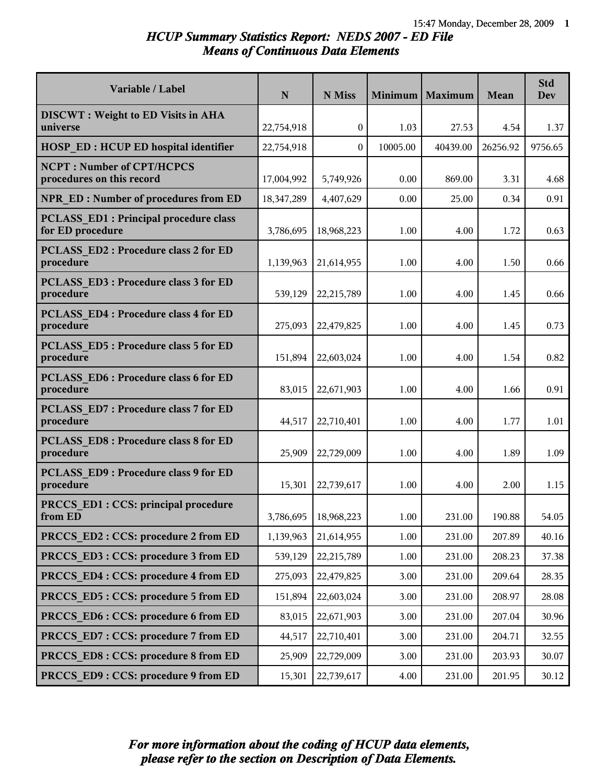# *HCUP Summary Statistics Report: NEDS 2007 - ED File Means of Continuous Data Elements*

| Variable / Label                                                 | $\mathbf N$ | N Miss       |          | Minimum   Maximum | Mean     | <b>Std</b><br>Dev |
|------------------------------------------------------------------|-------------|--------------|----------|-------------------|----------|-------------------|
| <b>DISCWT</b> : Weight to ED Visits in AHA                       |             |              |          |                   |          |                   |
| universe                                                         | 22,754,918  | $\mathbf{0}$ | 1.03     | 27.53             | 4.54     | 1.37              |
| <b>HOSP ED: HCUP ED hospital identifier</b>                      | 22,754,918  | $\Omega$     | 10005.00 | 40439.00          | 26256.92 | 9756.65           |
| <b>NCPT: Number of CPT/HCPCS</b><br>procedures on this record    | 17,004,992  | 5,749,926    | 0.00     | 869.00            | 3.31     | 4.68              |
| <b>NPR ED: Number of procedures from ED</b>                      | 18,347,289  | 4,407,629    | 0.00     | 25.00             | 0.34     | 0.91              |
| <b>PCLASS ED1: Principal procedure class</b><br>for ED procedure | 3,786,695   | 18,968,223   | 1.00     | 4.00              | 1.72     | 0.63              |
| <b>PCLASS ED2: Procedure class 2 for ED</b><br>procedure         | 1,139,963   | 21,614,955   | 1.00     | 4.00              | 1.50     | 0.66              |
| PCLASS ED3 : Procedure class 3 for ED<br>procedure               | 539,129     | 22,215,789   | 1.00     | 4.00              | 1.45     | 0.66              |
| <b>PCLASS ED4: Procedure class 4 for ED</b><br>procedure         | 275,093     | 22,479,825   | 1.00     | 4.00              | 1.45     | 0.73              |
| PCLASS ED5 : Procedure class 5 for ED<br>procedure               | 151,894     | 22,603,024   | 1.00     | 4.00              | 1.54     | 0.82              |
| <b>PCLASS ED6: Procedure class 6 for ED</b><br>procedure         | 83,015      | 22,671,903   | 1.00     | 4.00              | 1.66     | 0.91              |
| PCLASS ED7: Procedure class 7 for ED<br>procedure                | 44,517      | 22,710,401   | 1.00     | 4.00              | 1.77     | 1.01              |
| <b>PCLASS ED8: Procedure class 8 for ED</b><br>procedure         | 25,909      | 22,729,009   | 1.00     | 4.00              | 1.89     | 1.09              |
| PCLASS ED9 : Procedure class 9 for ED<br>procedure               | 15,301      | 22,739,617   | 1.00     | 4.00              | 2.00     | 1.15              |
| <b>PRCCS ED1: CCS: principal procedure</b><br>from ED            | 3,786,695   | 18,968,223   | $1.00\,$ | 231.00            | 190.88   | 54.05             |
| PRCCS ED2 : CCS: procedure 2 from ED                             | 1,139,963   | 21,614,955   | 1.00     | 231.00            | 207.89   | 40.16             |
| PRCCS ED3 : CCS: procedure 3 from ED                             | 539,129     | 22,215,789   | 1.00     | 231.00            | 208.23   | 37.38             |
| PRCCS ED4 : CCS: procedure 4 from ED                             | 275,093     | 22,479,825   | 3.00     | 231.00            | 209.64   | 28.35             |
| PRCCS ED5: CCS: procedure 5 from ED                              | 151,894     | 22,603,024   | 3.00     | 231.00            | 208.97   | 28.08             |
| PRCCS ED6 : CCS: procedure 6 from ED                             | 83,015      | 22,671,903   | 3.00     | 231.00            | 207.04   | 30.96             |
| PRCCS ED7: CCS: procedure 7 from ED                              | 44,517      | 22,710,401   | 3.00     | 231.00            | 204.71   | 32.55             |
| PRCCS ED8 : CCS: procedure 8 from ED                             | 25,909      | 22,729,009   | 3.00     | 231.00            | 203.93   | 30.07             |
| PRCCS ED9: CCS: procedure 9 from ED                              | 15,301      | 22,739,617   | 4.00     | 231.00            | 201.95   | 30.12             |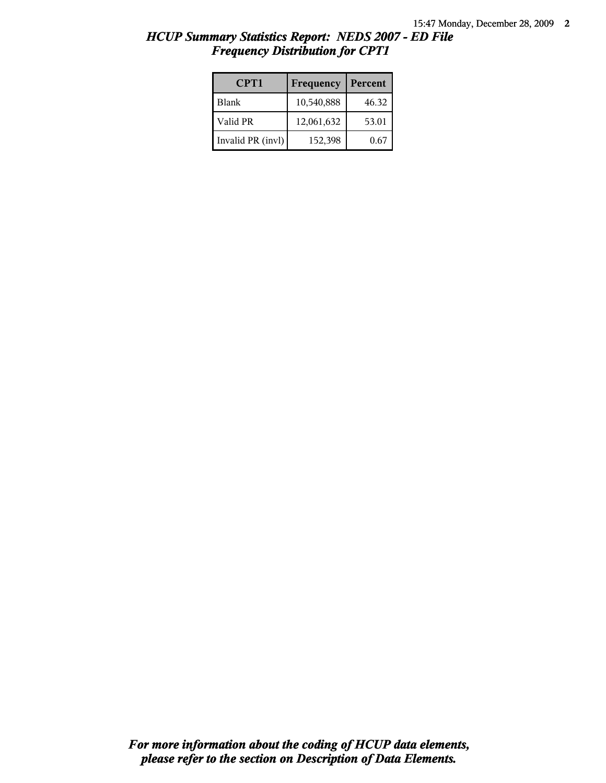| CPT1              | Frequency  | Percent |
|-------------------|------------|---------|
| Blank             | 10,540,888 | 46.32   |
| Valid PR          | 12,061,632 | 53.01   |
| Invalid PR (invl) | 152,398    | 0.67    |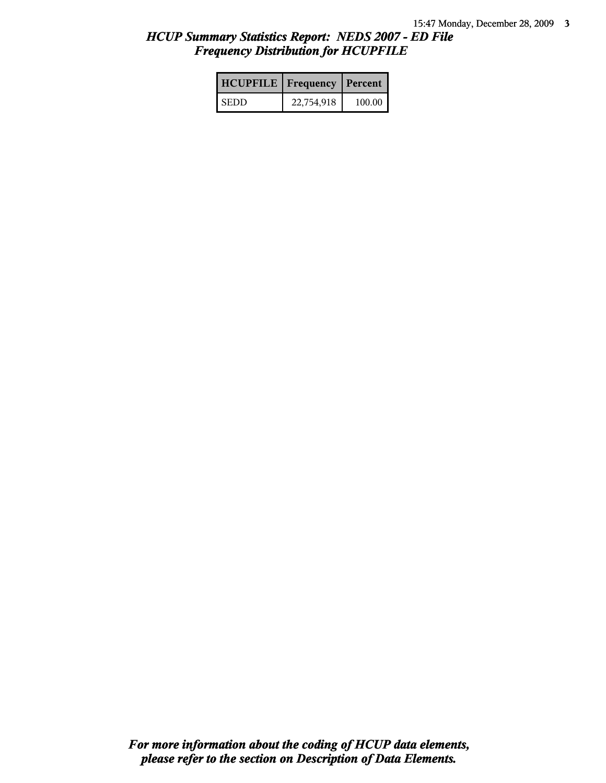| <b>HCUPFILE</b>   Frequency   Percent |            |        |
|---------------------------------------|------------|--------|
| <b>SEDD</b>                           | 22,754,918 | 100.00 |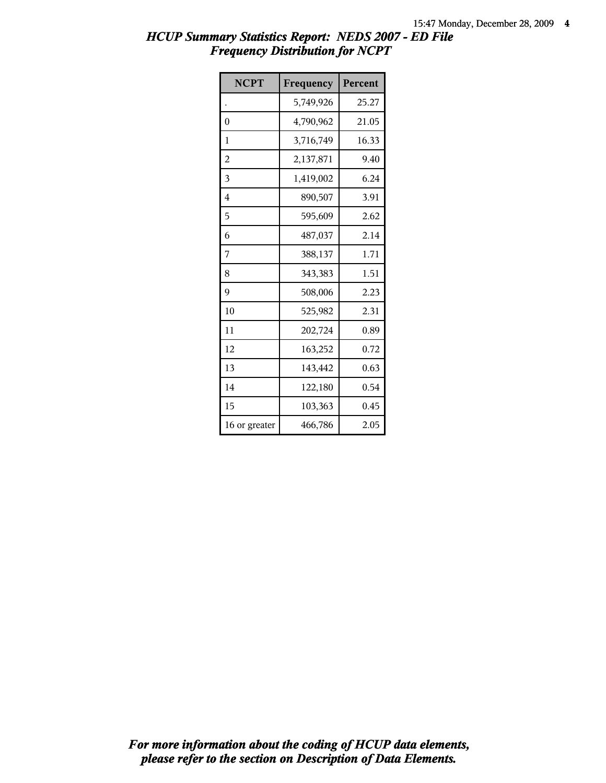| <b>NCPT</b>   | Frequency | Percent |
|---------------|-----------|---------|
|               | 5,749,926 | 25.27   |
| 0             | 4,790,962 | 21.05   |
| 1             | 3,716,749 | 16.33   |
| 2             | 2,137,871 | 9.40    |
| 3             | 1,419,002 | 6.24    |
| 4             | 890,507   | 3.91    |
| 5             | 595,609   | 2.62    |
| 6             | 487,037   | 2.14    |
| 7             | 388,137   | 1.71    |
| 8             | 343,383   | 1.51    |
| 9             | 508,006   | 2.23    |
| 10            | 525,982   | 2.31    |
| 11            | 202,724   | 0.89    |
| 12            | 163,252   | 0.72    |
| 13            | 143,442   | 0.63    |
| 14            | 122,180   | 0.54    |
| 15            | 103,363   | 0.45    |
| 16 or greater | 466,786   | 2.05    |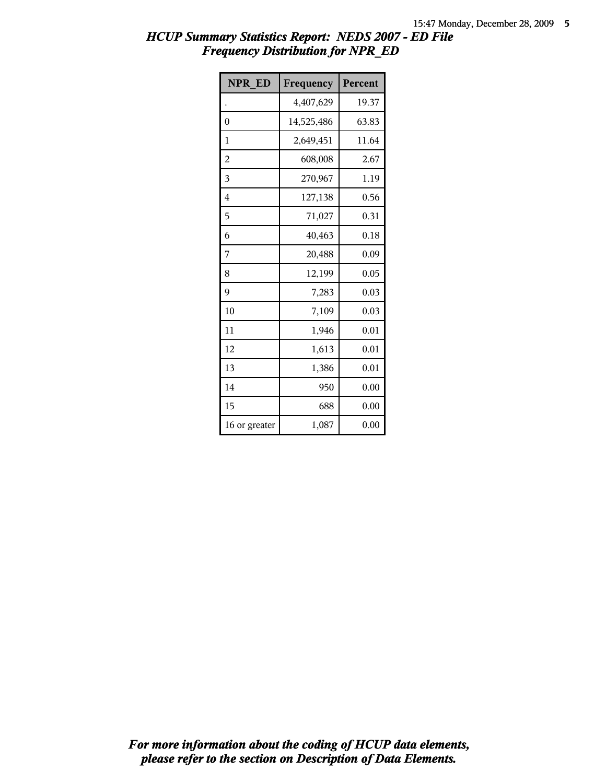| <b>NPR ED</b> | Frequency  | Percent |
|---------------|------------|---------|
|               | 4,407,629  | 19.37   |
| 0             | 14,525,486 | 63.83   |
| 1             | 2,649,451  | 11.64   |
| 2             | 608,008    | 2.67    |
| 3             | 270,967    | 1.19    |
| 4             | 127,138    | 0.56    |
| 5             | 71,027     | 0.31    |
| 6             | 40,463     | 0.18    |
| 7             | 20,488     | 0.09    |
| 8             | 12,199     | 0.05    |
| 9             | 7,283      | 0.03    |
| 10            | 7,109      | 0.03    |
| 11            | 1,946      | 0.01    |
| 12            | 1,613      | 0.01    |
| 13            | 1,386      | 0.01    |
| 14            | 950        | 0.00    |
| 15            | 688        | 0.00    |
| 16 or greater | 1,087      | 0.00    |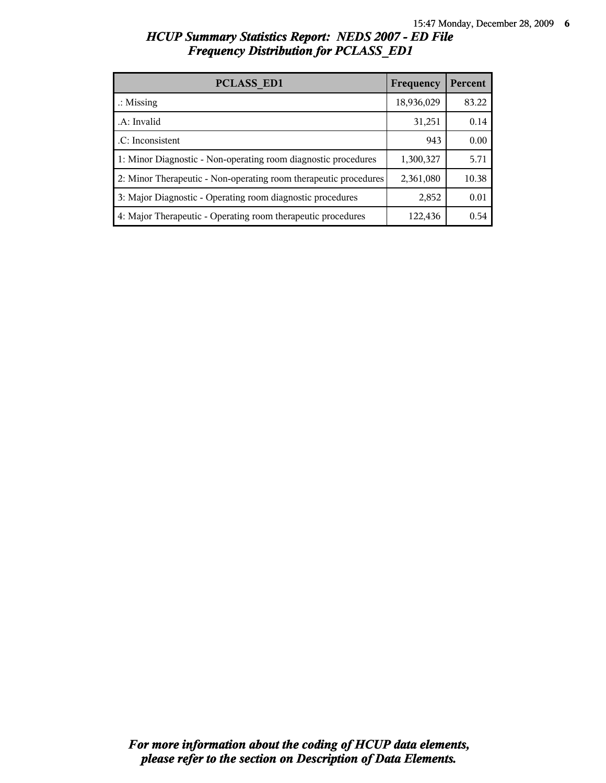| <b>PCLASS ED1</b>                                                | Frequency  | Percent |
|------------------------------------------------------------------|------------|---------|
| $\therefore$ Missing                                             | 18,936,029 | 83.22   |
| A: Invalid                                                       | 31,251     | 0.14    |
| .C: Inconsistent                                                 | 943        | 0.00    |
| 1: Minor Diagnostic - Non-operating room diagnostic procedures   | 1,300,327  | 5.71    |
| 2: Minor Therapeutic - Non-operating room therapeutic procedures | 2,361,080  | 10.38   |
| 3: Major Diagnostic - Operating room diagnostic procedures       | 2,852      | 0.01    |
| 4: Major Therapeutic - Operating room therapeutic procedures     | 122,436    | 0.54    |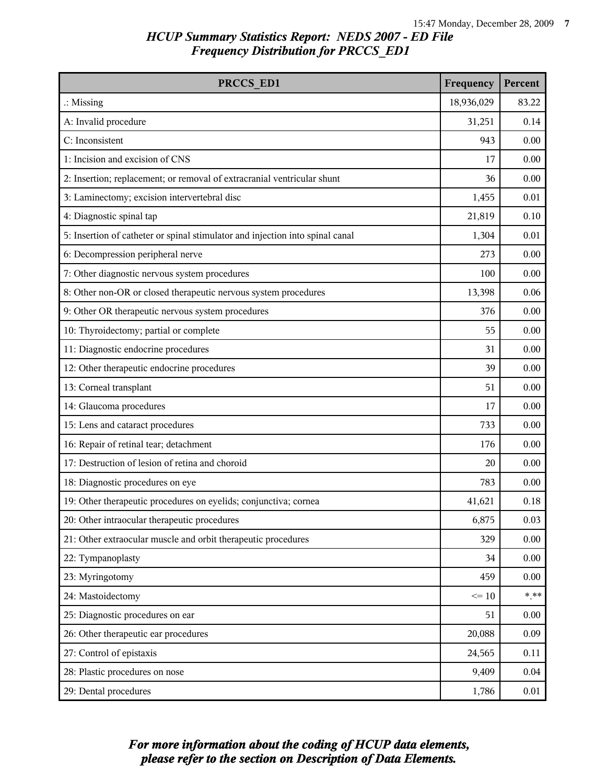| PRCCS ED1                                                                     | Frequency  | Percent |
|-------------------------------------------------------------------------------|------------|---------|
| $\therefore$ Missing                                                          | 18,936,029 | 83.22   |
| A: Invalid procedure                                                          | 31,251     | 0.14    |
| C: Inconsistent                                                               | 943        | 0.00    |
| 1: Incision and excision of CNS                                               | 17         | 0.00    |
| 2: Insertion; replacement; or removal of extracranial ventricular shunt       | 36         | 0.00    |
| 3: Laminectomy; excision intervertebral disc                                  | 1,455      | 0.01    |
| 4: Diagnostic spinal tap                                                      | 21,819     | 0.10    |
| 5: Insertion of catheter or spinal stimulator and injection into spinal canal | 1,304      | 0.01    |
| 6: Decompression peripheral nerve                                             | 273        | 0.00    |
| 7: Other diagnostic nervous system procedures                                 | 100        | 0.00    |
| 8: Other non-OR or closed therapeutic nervous system procedures               | 13,398     | 0.06    |
| 9: Other OR therapeutic nervous system procedures                             | 376        | 0.00    |
| 10: Thyroidectomy; partial or complete                                        | 55         | 0.00    |
| 11: Diagnostic endocrine procedures                                           | 31         | 0.00    |
| 12: Other therapeutic endocrine procedures                                    | 39         | 0.00    |
| 13: Corneal transplant                                                        | 51         | 0.00    |
| 14: Glaucoma procedures                                                       | 17         | 0.00    |
| 15: Lens and cataract procedures                                              | 733        | 0.00    |
| 16: Repair of retinal tear; detachment                                        | 176        | 0.00    |
| 17: Destruction of lesion of retina and choroid                               | 20         | 0.00    |
| 18: Diagnostic procedures on eye                                              | 783        | 0.00    |
| 19: Other therapeutic procedures on eyelids; conjunctiva; cornea              | 41,621     | 0.18    |
| 20: Other intraocular therapeutic procedures                                  | 6,875      | 0.03    |
| 21: Other extraocular muscle and orbit therapeutic procedures                 | 329        | 0.00    |
| 22: Tympanoplasty                                                             | 34         | 0.00    |
| 23: Myringotomy                                                               | 459        | 0.00    |
| 24: Mastoidectomy                                                             | $\leq 10$  | $* * *$ |
| 25: Diagnostic procedures on ear                                              | 51         | 0.00    |
| 26: Other therapeutic ear procedures                                          | 20,088     | 0.09    |
| 27: Control of epistaxis                                                      | 24,565     | 0.11    |
| 28: Plastic procedures on nose                                                | 9,409      | 0.04    |
| 29: Dental procedures                                                         | 1,786      | 0.01    |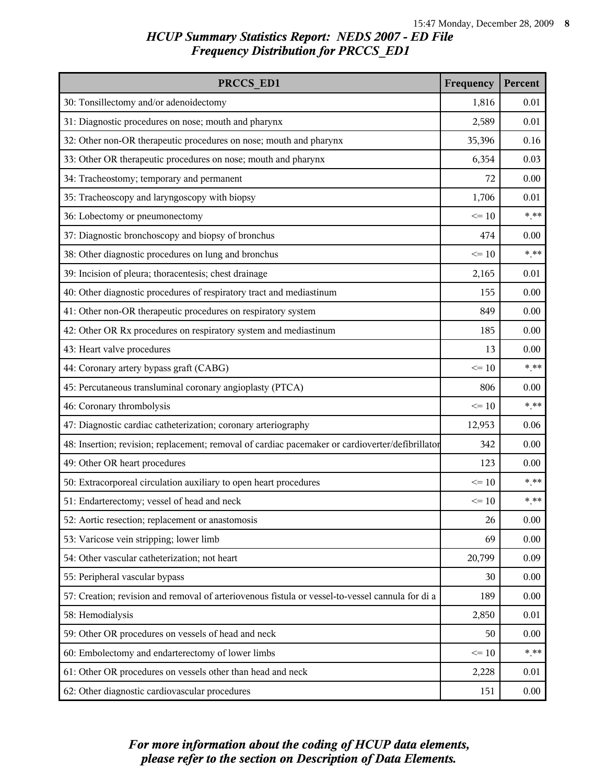| PRCCS ED1                                                                                        | Frequency | Percent |
|--------------------------------------------------------------------------------------------------|-----------|---------|
| 30: Tonsillectomy and/or adenoidectomy                                                           | 1,816     | 0.01    |
| 31: Diagnostic procedures on nose; mouth and pharynx                                             | 2,589     | 0.01    |
| 32: Other non-OR therapeutic procedures on nose; mouth and pharynx                               | 35,396    | 0.16    |
| 33: Other OR therapeutic procedures on nose; mouth and pharynx                                   | 6,354     | 0.03    |
| 34: Tracheostomy; temporary and permanent                                                        | 72        | 0.00    |
| 35: Tracheoscopy and laryngoscopy with biopsy                                                    | 1,706     | 0.01    |
| 36: Lobectomy or pneumonectomy                                                                   | $\leq 10$ | $***$   |
| 37: Diagnostic bronchoscopy and biopsy of bronchus                                               | 474       | 0.00    |
| 38: Other diagnostic procedures on lung and bronchus                                             | $\leq 10$ | $***$   |
| 39: Incision of pleura; thoracentesis; chest drainage                                            | 2,165     | 0.01    |
| 40: Other diagnostic procedures of respiratory tract and mediastinum                             | 155       | 0.00    |
| 41: Other non-OR therapeutic procedures on respiratory system                                    | 849       | 0.00    |
| 42: Other OR Rx procedures on respiratory system and mediastinum                                 | 185       | 0.00    |
| 43: Heart valve procedures                                                                       | 13        | 0.00    |
| 44: Coronary artery bypass graft (CABG)                                                          | $\leq 10$ | $***$   |
| 45: Percutaneous transluminal coronary angioplasty (PTCA)                                        | 806       | 0.00    |
| 46: Coronary thrombolysis                                                                        | $\leq 10$ | $***$   |
| 47: Diagnostic cardiac catheterization; coronary arteriography                                   | 12,953    | 0.06    |
| 48: Insertion; revision; replacement; removal of cardiac pacemaker or cardioverter/defibrillator | 342       | 0.00    |
| 49: Other OR heart procedures                                                                    | 123       | 0.00    |
| 50: Extracorporeal circulation auxiliary to open heart procedures                                | $\leq 10$ | $***$   |
| 51: Endarterectomy; vessel of head and neck                                                      | $\leq 10$ | $***$   |
| 52: Aortic resection; replacement or anastomosis                                                 | 26        | 0.00    |
| 53: Varicose vein stripping; lower limb                                                          | 69        | 0.00    |
| 54: Other vascular catheterization; not heart                                                    | 20,799    | 0.09    |
| 55: Peripheral vascular bypass                                                                   | 30        | 0.00    |
| 57: Creation; revision and removal of arteriovenous fistula or vessel-to-vessel cannula for di a | 189       | 0.00    |
| 58: Hemodialysis                                                                                 | 2,850     | 0.01    |
| 59: Other OR procedures on vessels of head and neck                                              | 50        | 0.00    |
| 60: Embolectomy and endarterectomy of lower limbs                                                | $\leq 10$ | $*$ **  |
| 61: Other OR procedures on vessels other than head and neck                                      | 2,228     | 0.01    |
| 62: Other diagnostic cardiovascular procedures                                                   | 151       | 0.00    |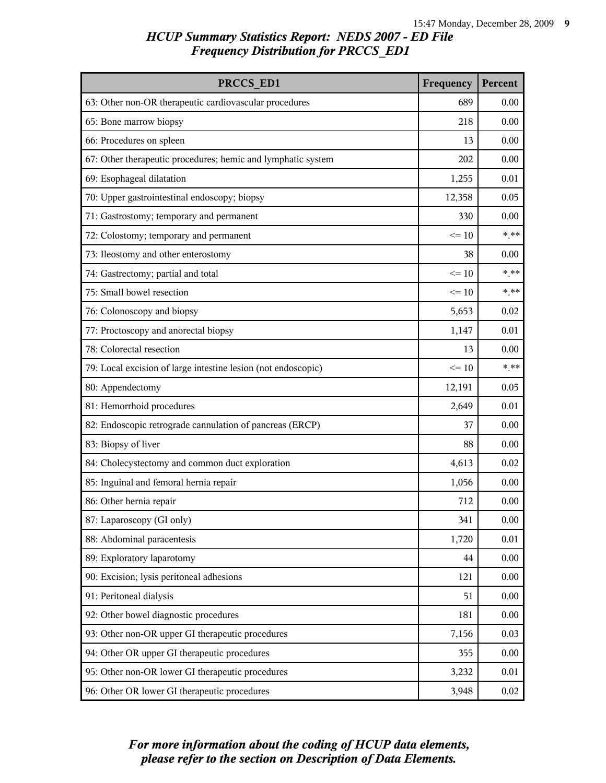| PRCCS ED1                                                     | Frequency | Percent  |
|---------------------------------------------------------------|-----------|----------|
| 63: Other non-OR therapeutic cardiovascular procedures        | 689       | 0.00     |
| 65: Bone marrow biopsy                                        | 218       | 0.00     |
| 66: Procedures on spleen                                      | 13        | 0.00     |
| 67: Other therapeutic procedures; hemic and lymphatic system  | 202       | 0.00     |
| 69: Esophageal dilatation                                     | 1,255     | 0.01     |
| 70: Upper gastrointestinal endoscopy; biopsy                  | 12,358    | 0.05     |
| 71: Gastrostomy; temporary and permanent                      | 330       | 0.00     |
| 72: Colostomy; temporary and permanent                        | $\leq 10$ | $***$    |
| 73: Ileostomy and other enterostomy                           | 38        | 0.00     |
| 74: Gastrectomy; partial and total                            | $\leq 10$ | $***$    |
| 75: Small bowel resection                                     | $\leq 10$ | $***$    |
| 76: Colonoscopy and biopsy                                    | 5,653     | 0.02     |
| 77: Proctoscopy and anorectal biopsy                          | 1,147     | 0.01     |
| 78: Colorectal resection                                      | 13        | 0.00     |
| 79: Local excision of large intestine lesion (not endoscopic) | $\leq 10$ | $***$    |
| 80: Appendectomy                                              | 12,191    | 0.05     |
| 81: Hemorrhoid procedures                                     | 2,649     | 0.01     |
| 82: Endoscopic retrograde cannulation of pancreas (ERCP)      | 37        | 0.00     |
| 83: Biopsy of liver                                           | 88        | 0.00     |
| 84: Cholecystectomy and common duct exploration               | 4,613     | 0.02     |
| 85: Inguinal and femoral hernia repair                        | 1,056     | 0.00     |
| 86: Other hernia repair                                       | 712       | 0.00     |
| 87: Laparoscopy (GI only)                                     | 341       | 0.00     |
| 88: Abdominal paracentesis                                    | 1,720     | 0.01     |
| 89: Exploratory laparotomy                                    | 44        | $0.00\,$ |
| 90: Excision; lysis peritoneal adhesions                      | 121       | 0.00     |
| 91: Peritoneal dialysis                                       | 51        | $0.00\,$ |
| 92: Other bowel diagnostic procedures                         | 181       | 0.00     |
| 93: Other non-OR upper GI therapeutic procedures              | 7,156     | 0.03     |
| 94: Other OR upper GI therapeutic procedures                  | 355       | $0.00\,$ |
| 95: Other non-OR lower GI therapeutic procedures              | 3,232     | 0.01     |
| 96: Other OR lower GI therapeutic procedures                  | 3,948     | $0.02\,$ |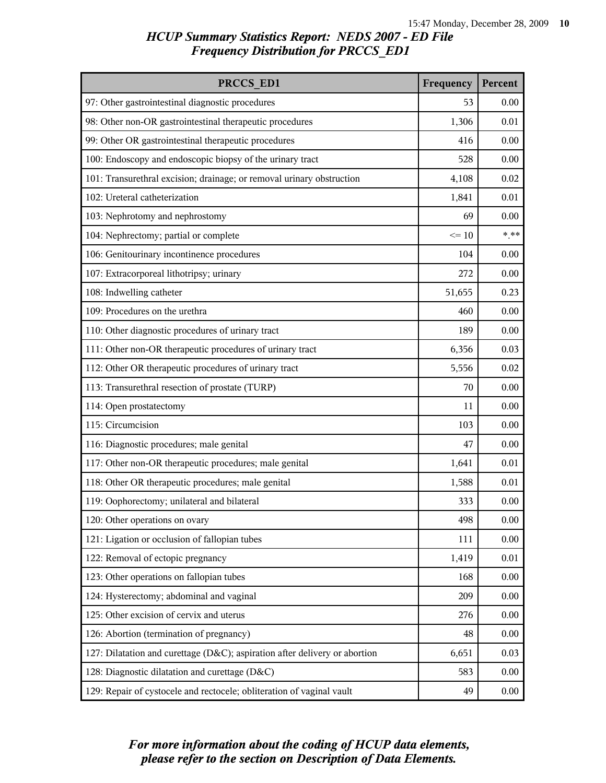| PRCCS ED1                                                                  | Frequency | Percent  |
|----------------------------------------------------------------------------|-----------|----------|
| 97: Other gastrointestinal diagnostic procedures                           | 53        | 0.00     |
| 98: Other non-OR gastrointestinal therapeutic procedures                   | 1,306     | 0.01     |
| 99: Other OR gastrointestinal therapeutic procedures                       | 416       | 0.00     |
| 100: Endoscopy and endoscopic biopsy of the urinary tract                  | 528       | 0.00     |
| 101: Transurethral excision; drainage; or removal urinary obstruction      | 4,108     | 0.02     |
| 102: Ureteral catheterization                                              | 1,841     | 0.01     |
| 103: Nephrotomy and nephrostomy                                            | 69        | 0.00     |
| 104: Nephrectomy; partial or complete                                      | $\leq 10$ | $***$    |
| 106: Genitourinary incontinence procedures                                 | 104       | 0.00     |
| 107: Extracorporeal lithotripsy; urinary                                   | 272       | 0.00     |
| 108: Indwelling catheter                                                   | 51,655    | 0.23     |
| 109: Procedures on the urethra                                             | 460       | 0.00     |
| 110: Other diagnostic procedures of urinary tract                          | 189       | 0.00     |
| 111: Other non-OR therapeutic procedures of urinary tract                  | 6,356     | 0.03     |
| 112: Other OR therapeutic procedures of urinary tract                      | 5,556     | 0.02     |
| 113: Transurethral resection of prostate (TURP)                            | 70        | 0.00     |
| 114: Open prostatectomy                                                    | 11        | 0.00     |
| 115: Circumcision                                                          | 103       | 0.00     |
| 116: Diagnostic procedures; male genital                                   | 47        | 0.00     |
| 117: Other non-OR therapeutic procedures; male genital                     | 1,641     | 0.01     |
| 118: Other OR therapeutic procedures; male genital                         | 1,588     | 0.01     |
| 119: Oophorectomy; unilateral and bilateral                                | 333       | 0.00     |
| 120: Other operations on ovary                                             | 498       | $0.00\,$ |
| 121: Ligation or occlusion of fallopian tubes                              | 111       | 0.00     |
| 122: Removal of ectopic pregnancy                                          | 1,419     | 0.01     |
| 123: Other operations on fallopian tubes                                   | 168       | 0.00     |
| 124: Hysterectomy; abdominal and vaginal                                   | 209       | $0.00\,$ |
| 125: Other excision of cervix and uterus                                   | 276       | 0.00     |
| 126: Abortion (termination of pregnancy)                                   | 48        | 0.00     |
| 127: Dilatation and curettage (D&C); aspiration after delivery or abortion | 6,651     | 0.03     |
| 128: Diagnostic dilatation and curettage (D&C)                             | 583       | 0.00     |
| 129: Repair of cystocele and rectocele; obliteration of vaginal vault      | 49        | $0.00\,$ |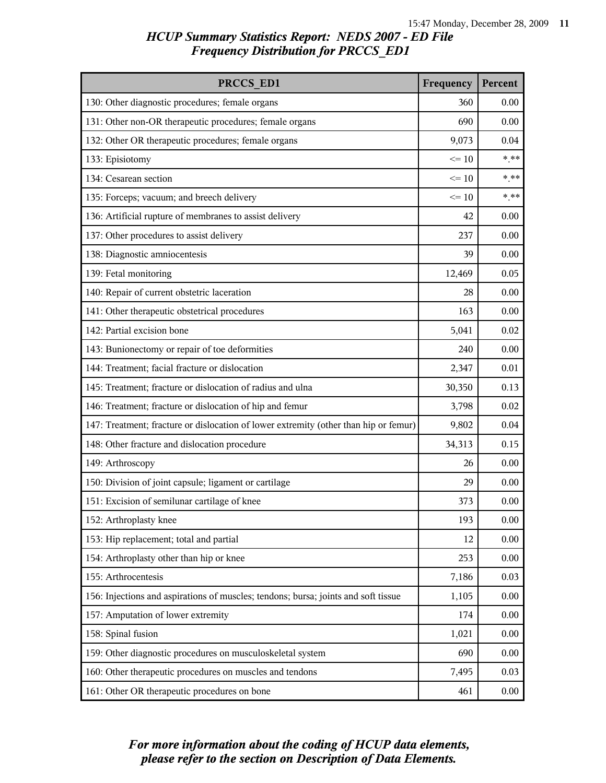| PRCCS ED1                                                                            | Frequency | Percent |
|--------------------------------------------------------------------------------------|-----------|---------|
| 130: Other diagnostic procedures; female organs                                      | 360       | 0.00    |
| 131: Other non-OR therapeutic procedures; female organs                              | 690       | 0.00    |
| 132: Other OR therapeutic procedures; female organs                                  | 9,073     | 0.04    |
| 133: Episiotomy                                                                      | $\leq 10$ | $***$   |
| 134: Cesarean section                                                                | $\leq 10$ | $***$   |
| 135: Forceps; vacuum; and breech delivery                                            | $\leq 10$ | $***$   |
| 136: Artificial rupture of membranes to assist delivery                              | 42        | 0.00    |
| 137: Other procedures to assist delivery                                             | 237       | 0.00    |
| 138: Diagnostic amniocentesis                                                        | 39        | 0.00    |
| 139: Fetal monitoring                                                                | 12,469    | 0.05    |
| 140: Repair of current obstetric laceration                                          | 28        | 0.00    |
| 141: Other therapeutic obstetrical procedures                                        | 163       | 0.00    |
| 142: Partial excision bone                                                           | 5,041     | 0.02    |
| 143: Bunionectomy or repair of toe deformities                                       | 240       | 0.00    |
| 144: Treatment; facial fracture or dislocation                                       | 2,347     | 0.01    |
| 145: Treatment; fracture or dislocation of radius and ulna                           | 30,350    | 0.13    |
| 146: Treatment; fracture or dislocation of hip and femur                             | 3,798     | 0.02    |
| 147: Treatment; fracture or dislocation of lower extremity (other than hip or femur) | 9,802     | 0.04    |
| 148: Other fracture and dislocation procedure                                        | 34,313    | 0.15    |
| 149: Arthroscopy                                                                     | 26        | 0.00    |
| 150: Division of joint capsule; ligament or cartilage                                | 29        | 0.00    |
| 151: Excision of semilunar cartilage of knee                                         | 373       | 0.00    |
| 152: Arthroplasty knee                                                               | 193       | 0.00    |
| 153: Hip replacement; total and partial                                              | 12        | 0.00    |
| 154: Arthroplasty other than hip or knee                                             | 253       | 0.00    |
| 155: Arthrocentesis                                                                  | 7,186     | 0.03    |
| 156: Injections and aspirations of muscles; tendons; bursa; joints and soft tissue   | 1,105     | 0.00    |
| 157: Amputation of lower extremity                                                   | 174       | 0.00    |
| 158: Spinal fusion                                                                   | 1,021     | 0.00    |
| 159: Other diagnostic procedures on musculoskeletal system                           | 690       | 0.00    |
| 160: Other therapeutic procedures on muscles and tendons                             | 7,495     | 0.03    |
| 161: Other OR therapeutic procedures on bone                                         | 461       | 0.00    |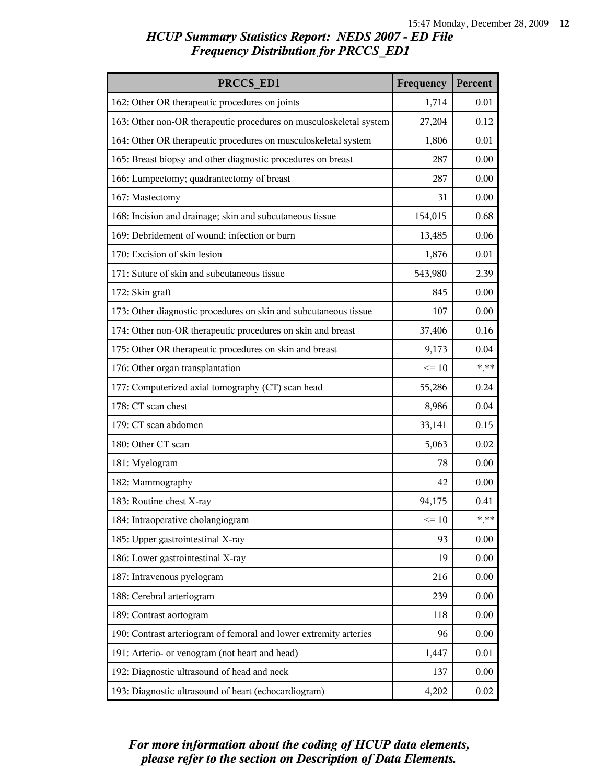| PRCCS ED1                                                          | Frequency | Percent |
|--------------------------------------------------------------------|-----------|---------|
| 162: Other OR therapeutic procedures on joints                     | 1,714     | 0.01    |
| 163: Other non-OR therapeutic procedures on musculoskeletal system | 27,204    | 0.12    |
| 164: Other OR therapeutic procedures on musculoskeletal system     | 1,806     | 0.01    |
| 165: Breast biopsy and other diagnostic procedures on breast       | 287       | 0.00    |
| 166: Lumpectomy; quadrantectomy of breast                          | 287       | 0.00    |
| 167: Mastectomy                                                    | 31        | 0.00    |
| 168: Incision and drainage; skin and subcutaneous tissue           | 154,015   | 0.68    |
| 169: Debridement of wound; infection or burn                       | 13,485    | 0.06    |
| 170: Excision of skin lesion                                       | 1,876     | 0.01    |
| 171: Suture of skin and subcutaneous tissue                        | 543,980   | 2.39    |
| 172: Skin graft                                                    | 845       | 0.00    |
| 173: Other diagnostic procedures on skin and subcutaneous tissue   | 107       | 0.00    |
| 174: Other non-OR therapeutic procedures on skin and breast        | 37,406    | 0.16    |
| 175: Other OR therapeutic procedures on skin and breast            | 9,173     | 0.04    |
| 176: Other organ transplantation                                   | $\leq 10$ | $***$   |
| 177: Computerized axial tomography (CT) scan head                  | 55,286    | 0.24    |
| 178: CT scan chest                                                 | 8,986     | 0.04    |
| 179: CT scan abdomen                                               | 33,141    | 0.15    |
| 180: Other CT scan                                                 | 5,063     | 0.02    |
| 181: Myelogram                                                     | 78        | 0.00    |
| 182: Mammography                                                   | 42        | 0.00    |
| 183: Routine chest X-ray                                           | 94,175    | 0.41    |
| 184: Intraoperative cholangiogram                                  | $\leq 10$ | $***$   |
| 185: Upper gastrointestinal X-ray                                  | 93        | 0.00    |
| 186: Lower gastrointestinal X-ray                                  | 19        | 0.00    |
| 187: Intravenous pyelogram                                         | 216       | 0.00    |
| 188: Cerebral arteriogram                                          | 239       | 0.00    |
| 189: Contrast aortogram                                            | 118       | 0.00    |
| 190: Contrast arteriogram of femoral and lower extremity arteries  | 96        | 0.00    |
| 191: Arterio- or venogram (not heart and head)                     | 1,447     | 0.01    |
| 192: Diagnostic ultrasound of head and neck                        | 137       | 0.00    |
| 193: Diagnostic ultrasound of heart (echocardiogram)               | 4,202     | 0.02    |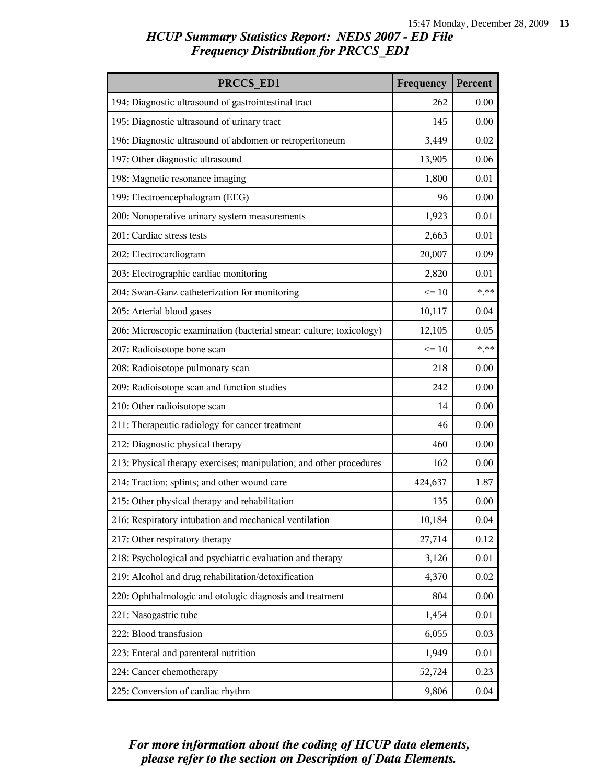| PRCCS ED1                                                           | Frequency | Percent  |
|---------------------------------------------------------------------|-----------|----------|
| 194: Diagnostic ultrasound of gastrointestinal tract                | 262       | 0.00     |
| 195: Diagnostic ultrasound of urinary tract                         | 145       | 0.00     |
| 196: Diagnostic ultrasound of abdomen or retroperitoneum            | 3,449     | 0.02     |
| 197: Other diagnostic ultrasound                                    | 13,905    | 0.06     |
| 198: Magnetic resonance imaging                                     | 1,800     | 0.01     |
| 199: Electroencephalogram (EEG)                                     | 96        | 0.00     |
| 200: Nonoperative urinary system measurements                       | 1,923     | 0.01     |
| 201: Cardiac stress tests                                           | 2,663     | 0.01     |
| 202: Electrocardiogram                                              | 20,007    | 0.09     |
| 203: Electrographic cardiac monitoring                              | 2,820     | 0.01     |
| 204: Swan-Ganz catheterization for monitoring                       | $\leq 10$ | $***$    |
| 205: Arterial blood gases                                           | 10,117    | 0.04     |
| 206: Microscopic examination (bacterial smear; culture; toxicology) | 12,105    | 0.05     |
| 207: Radioisotope bone scan                                         | $\leq 10$ | $***$    |
| 208: Radioisotope pulmonary scan                                    | 218       | 0.00     |
| 209: Radioisotope scan and function studies                         | 242       | 0.00     |
| 210: Other radioisotope scan                                        | 14        | 0.00     |
| 211: Therapeutic radiology for cancer treatment                     | 46        | 0.00     |
| 212: Diagnostic physical therapy                                    | 460       | 0.00     |
| 213: Physical therapy exercises; manipulation; and other procedures | 162       | 0.00     |
| 214: Traction; splints; and other wound care                        | 424,637   | 1.87     |
| 215: Other physical therapy and rehabilitation                      | 135       | 0.00     |
| 216: Respiratory intubation and mechanical ventilation              | 10,184    | 0.04     |
| 217: Other respiratory therapy                                      | 27,714    | 0.12     |
| 218: Psychological and psychiatric evaluation and therapy           | 3,126     | 0.01     |
| 219: Alcohol and drug rehabilitation/detoxification                 | 4,370     | 0.02     |
| 220: Ophthalmologic and otologic diagnosis and treatment            | 804       | 0.00     |
| 221: Nasogastric tube                                               | 1,454     | 0.01     |
| 222: Blood transfusion                                              | 6,055     | 0.03     |
| 223: Enteral and parenteral nutrition                               | 1,949     | 0.01     |
| 224: Cancer chemotherapy                                            | 52,724    | 0.23     |
| 225: Conversion of cardiac rhythm                                   | 9,806     | $0.04\,$ |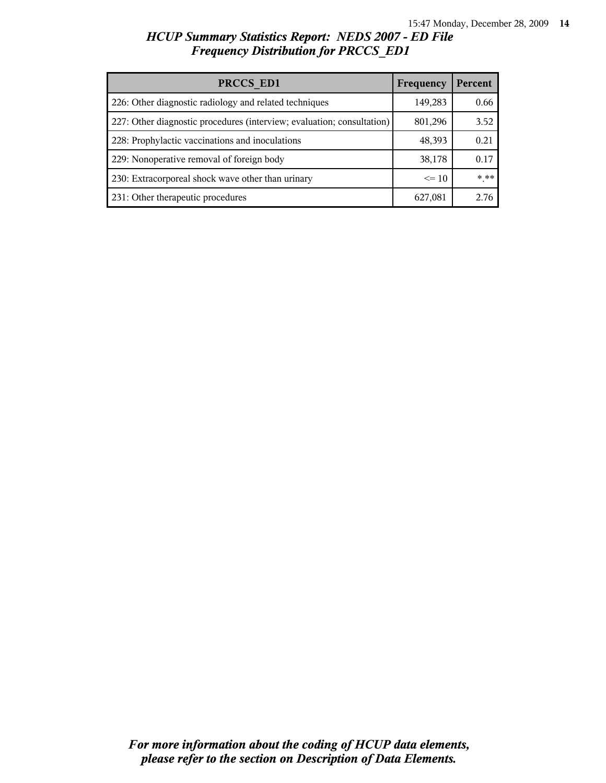| PRCCS ED1                                                              | Frequency | Percent |
|------------------------------------------------------------------------|-----------|---------|
| 226: Other diagnostic radiology and related techniques                 | 149,283   | 0.66    |
| 227: Other diagnostic procedures (interview; evaluation; consultation) | 801,296   | 3.52    |
| 228: Prophylactic vaccinations and inoculations                        | 48,393    | 0.21    |
| 229: Nonoperative removal of foreign body                              | 38,178    | 0.17    |
| 230: Extracorporeal shock wave other than urinary                      | $\leq 10$ | $***$   |
| 231: Other therapeutic procedures                                      | 627,081   | 2.76    |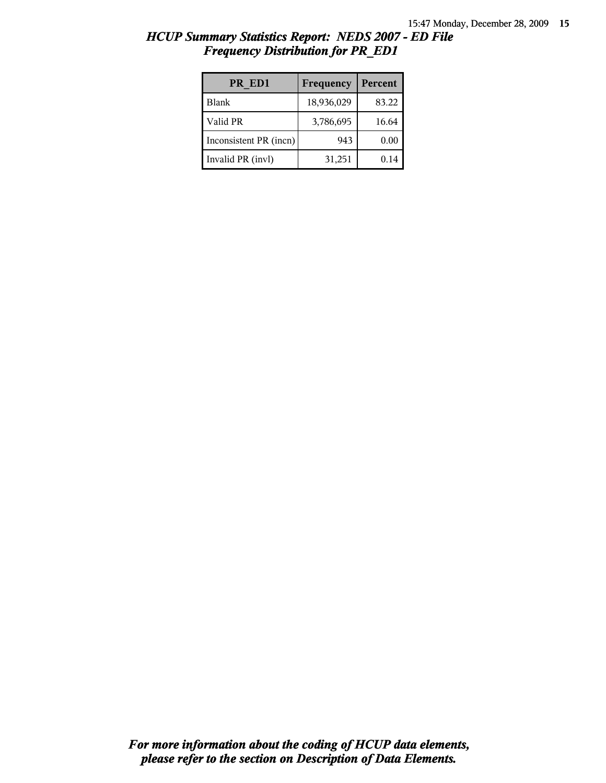| PR ED1                 | Frequency  | Percent |
|------------------------|------------|---------|
| <b>Blank</b>           | 18,936,029 | 83.22   |
| Valid PR               | 3,786,695  | 16.64   |
| Inconsistent PR (incn) | 943        | 0.00    |
| Invalid PR (invl)      | 31,251     | 0.14    |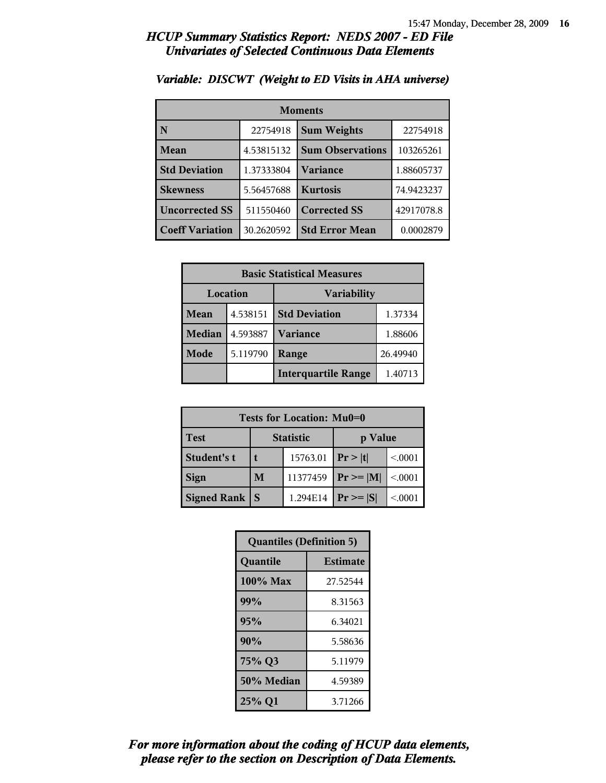### *HCUP Summary Statistics Report: NEDS 2007 - ED File Univariates of Selected Continuous Data Elements*

| <b>Moments</b>         |            |                         |            |
|------------------------|------------|-------------------------|------------|
| N                      | 22754918   | <b>Sum Weights</b>      | 22754918   |
| Mean                   | 4.53815132 | <b>Sum Observations</b> | 103265261  |
| <b>Std Deviation</b>   | 1.37333804 | Variance                | 1.88605737 |
| <b>Skewness</b>        | 5.56457688 | <b>Kurtosis</b>         | 74.9423237 |
| <b>Uncorrected SS</b>  | 511550460  | <b>Corrected SS</b>     | 42917078.8 |
| <b>Coeff Variation</b> | 30.2620592 | <b>Std Error Mean</b>   | 0.0002879  |

### *Variable: DISCWT (Weight to ED Visits in AHA universe)*

| <b>Basic Statistical Measures</b> |          |                            |          |
|-----------------------------------|----------|----------------------------|----------|
| Location                          |          | <b>Variability</b>         |          |
| Mean                              | 4.538151 | <b>Std Deviation</b>       | 1.37334  |
| <b>Median</b>                     | 4.593887 | <b>Variance</b>            | 1.88606  |
| Mode                              | 5.119790 | Range                      | 26.49940 |
|                                   |          | <b>Interquartile Range</b> | 1.40713  |

| Tests for Location: Mu0=0 |                  |          |                |         |
|---------------------------|------------------|----------|----------------|---------|
| <b>Test</b>               | <b>Statistic</b> |          | p Value        |         |
| Student's t               |                  | 15763.01 | Pr >  t        | < 0.001 |
| <b>Sign</b>               | M                | 11377459 | $Pr \ge =  M $ | < 0.001 |
| Signed Rank               |                  | 1.294E14 | $Pr \geq  S $  | < 0001  |

| <b>Quantiles (Definition 5)</b> |                 |  |
|---------------------------------|-----------------|--|
| Quantile                        | <b>Estimate</b> |  |
| $100\%$ Max                     | 27.52544        |  |
| 99%                             | 8.31563         |  |
| 95%                             | 6.34021         |  |
| 90%                             | 5.58636         |  |
| 75% Q3                          | 5.11979         |  |
| 50% Median                      | 4.59389         |  |
| 25% Q1                          | 3.71266         |  |